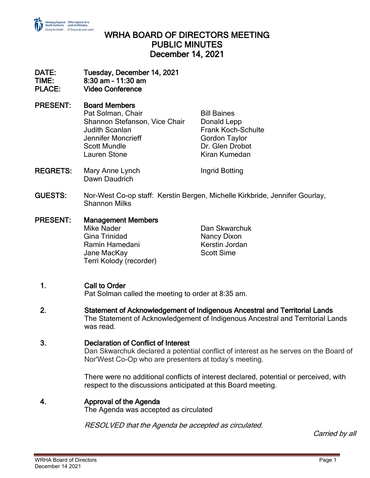

## WRHA BOARD OF DIRECTORS MEETING PUBLIC MINUTES December 14, 2021

#### DATE: Tuesday, December 14, 2021 TIME: 8:30 am – 11:30 am

PLACE: Video Conference

#### PRESENT: Board Members Pat Solman, Chair **Bill Baines** Shannon Stefanson, Vice Chair Donald Lepp Judith Scanlan Frank Koch-Schulte Jennifer Moncrieff Gordon Taylor

Scott Mundle **Dr.** Glen Drobot Lauren Stone Kiran Kumedan

- REGRETS: Mary Anne Lynch Ingrid Botting Dawn Daudrich
- GUESTS: Nor-West Co-op staff: Kerstin Bergen, Michelle Kirkbride, Jennifer Gourlay, Shannon Milks
- PRESENT: Management Members Mike Nader Dan Skwarchuk Gina Trinidad Nancy Dixon Ramin Hamedani Kerstin Jordan Jane MacKav Terri Kolody (recorder)

# 1. Call to Order

Pat Solman called the meeting to order at 8:35 am.

2. Statement of Acknowledgement of Indigenous Ancestral and Territorial Lands The Statement of Acknowledgement of Indigenous Ancestral and Territorial Lands was read.

## 3. Declaration of Conflict of Interest

Dan Skwarchuk declared a potential conflict of interest as he serves on the Board of Nor'West Co-Op who are presenters at today's meeting.

There were no additional conflicts of interest declared, potential or perceived, with respect to the discussions anticipated at this Board meeting.

#### 4. Approval of the Agenda

The Agenda was accepted as circulated

RESOLVED that the Agenda be accepted as circulated.

Carried by all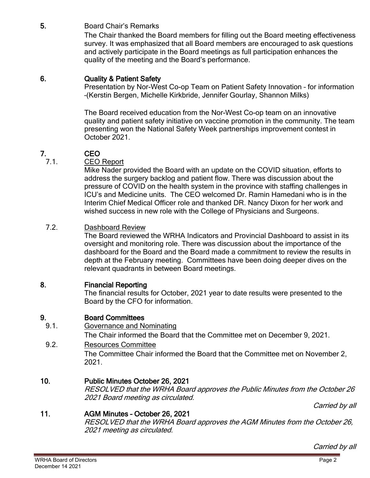## 5. Board Chair's Remarks

The Chair thanked the Board members for filling out the Board meeting effectiveness survey. It was emphasized that all Board members are encouraged to ask questions and actively participate in the Board meetings as full participation enhances the quality of the meeting and the Board's performance.

#### 6. Quality & Patient Safety

Presentation by Nor-West Co-op Team on Patient Safety Innovation – for information –(Kerstin Bergen, Michelle Kirkbride, Jennifer Gourlay, Shannon Milks)

The Board received education from the Nor-West Co-op team on an innovative quality and patient safety initiative on vaccine promotion in the community. The team presenting won the National Safety Week partnerships improvement contest in October 2021.

## 7. CEO

7.1. CEO Report

Mike Nader provided the Board with an update on the COVID situation, efforts to address the surgery backlog and patient flow. There was discussion about the pressure of COVID on the health system in the province with staffing challenges in ICU's and Medicine units. The CEO welcomed Dr. Ramin Hamedani who is in the Interim Chief Medical Officer role and thanked DR. Nancy Dixon for her work and wished success in new role with the College of Physicians and Surgeons.

#### 7.2. Dashboard Review

The Board reviewed the WRHA Indicators and Provincial Dashboard to assist in its oversight and monitoring role. There was discussion about the importance of the dashboard for the Board and the Board made a commitment to review the results in depth at the February meeting. Committees have been doing deeper dives on the relevant quadrants in between Board meetings.

#### 8. Financial Reporting

The financial results for October, 2021 year to date results were presented to the Board by the CFO for information.

#### 9. Board Committees

9.1. Governance and Nominating

The Chair informed the Board that the Committee met on December 9, 2021.

9.2. Resources Committee

The Committee Chair informed the Board that the Committee met on November 2, 2021.

#### 10. Public Minutes October 26, 2021

RESOLVED that the WRHA Board approves the Public Minutes from the October 26 2021 Board meeting as circulated.

Carried by all

#### 11. AGM Minutes – October 26, 2021

RESOLVED that the WRHA Board approves the AGM Minutes from the October 26, 2021 meeting as circulated.

Carried by all